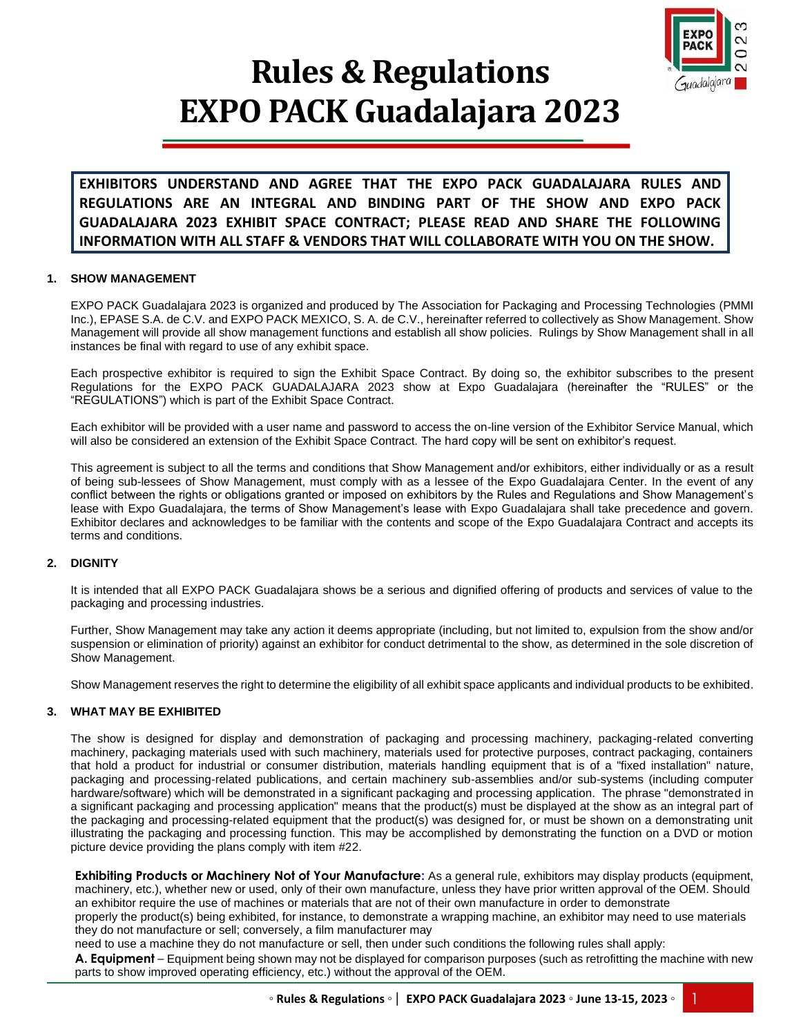

# **Rules & Regulations EXPO PACK Guadalajara 2023**

**EXHIBITORS UNDERSTAND AND AGREE THAT THE EXPO PACK GUADALAJARA RULES AND REGULATIONS ARE AN INTEGRAL AND BINDING PART OF THE SHOW AND EXPO PACK GUADALAJARA 2023 EXHIBIT SPACE CONTRACT; PLEASE READ AND SHARE THE FOLLOWING INFORMATION WITH ALL STAFF & VENDORS THAT WILL COLLABORATE WITH YOU ON THE SHOW.**

# **1. SHOW MANAGEMENT**

EXPO PACK Guadalajara 2023 is organized and produced by The Association for Packaging and Processing Technologies (PMMI Inc.), EPASE S.A. de C.V. and EXPO PACK MEXICO, S. A. de C.V., hereinafter referred to collectively as Show Management. Show Management will provide all show management functions and establish all show policies. Rulings by Show Management shall in all instances be final with regard to use of any exhibit space.

Each prospective exhibitor is required to sign the Exhibit Space Contract. By doing so, the exhibitor subscribes to the present Regulations for the EXPO PACK GUADALAJARA 2023 show at Expo Guadalajara (hereinafter the "RULES" or the "REGULATIONS") which is part of the Exhibit Space Contract.

Each exhibitor will be provided with a user name and password to access the on-line version of the Exhibitor Service Manual, which will also be considered an extension of the Exhibit Space Contract. The hard copy will be sent on exhibitor's request.

This agreement is subject to all the terms and conditions that Show Management and/or exhibitors, either individually or as a result of being sub-lessees of Show Management, must comply with as a lessee of the Expo Guadalajara Center. In the event of any conflict between the rights or obligations granted or imposed on exhibitors by the Rules and Regulations and Show Management's lease with Expo Guadalajara, the terms of Show Management's lease with Expo Guadalajara shall take precedence and govern. Exhibitor declares and acknowledges to be familiar with the contents and scope of the Expo Guadalajara Contract and accepts its terms and conditions.

# **2. DIGNITY**

It is intended that all EXPO PACK Guadalajara shows be a serious and dignified offering of products and services of value to the packaging and processing industries.

Further, Show Management may take any action it deems appropriate (including, but not limited to, expulsion from the show and/or suspension or elimination of priority) against an exhibitor for conduct detrimental to the show, as determined in the sole discretion of Show Management.

Show Management reserves the right to determine the eligibility of all exhibit space applicants and individual products to be exhibited.

# **3. WHAT MAY BE EXHIBITED**

The show is designed for display and demonstration of packaging and processing machinery, packaging-related converting machinery, packaging materials used with such machinery, materials used for protective purposes, contract packaging, containers that hold a product for industrial or consumer distribution, materials handling equipment that is of a "fixed installation" nature, packaging and processing-related publications, and certain machinery sub-assemblies and/or sub-systems (including computer hardware/software) which will be demonstrated in a significant packaging and processing application. The phrase "demonstrated in a significant packaging and processing application" means that the product(s) must be displayed at the show as an integral part of the packaging and processing-related equipment that the product(s) was designed for, or must be shown on a demonstrating unit illustrating the packaging and processing function. This may be accomplished by demonstrating the function on a DVD or motion picture device providing the plans comply with item #22.

**Exhibiting Products or Machinery Not of Your Manufacture:** As a general rule, exhibitors may display products (equipment, machinery, etc.), whether new or used, only of their own manufacture, unless they have prior written approval of the OEM. Should an exhibitor require the use of machines or materials that are not of their own manufacture in order to demonstrate properly the product(s) being exhibited, for instance, to demonstrate a wrapping machine, an exhibitor may need to use materials they do not manufacture or sell; conversely, a film manufacturer may

need to use a machine they do not manufacture or sell, then under such conditions the following rules shall apply:

**A. Equipment** – Equipment being shown may not be displayed for comparison purposes (such as retrofitting the machine with new parts to show improved operating efficiency, etc.) without the approval of the OEM.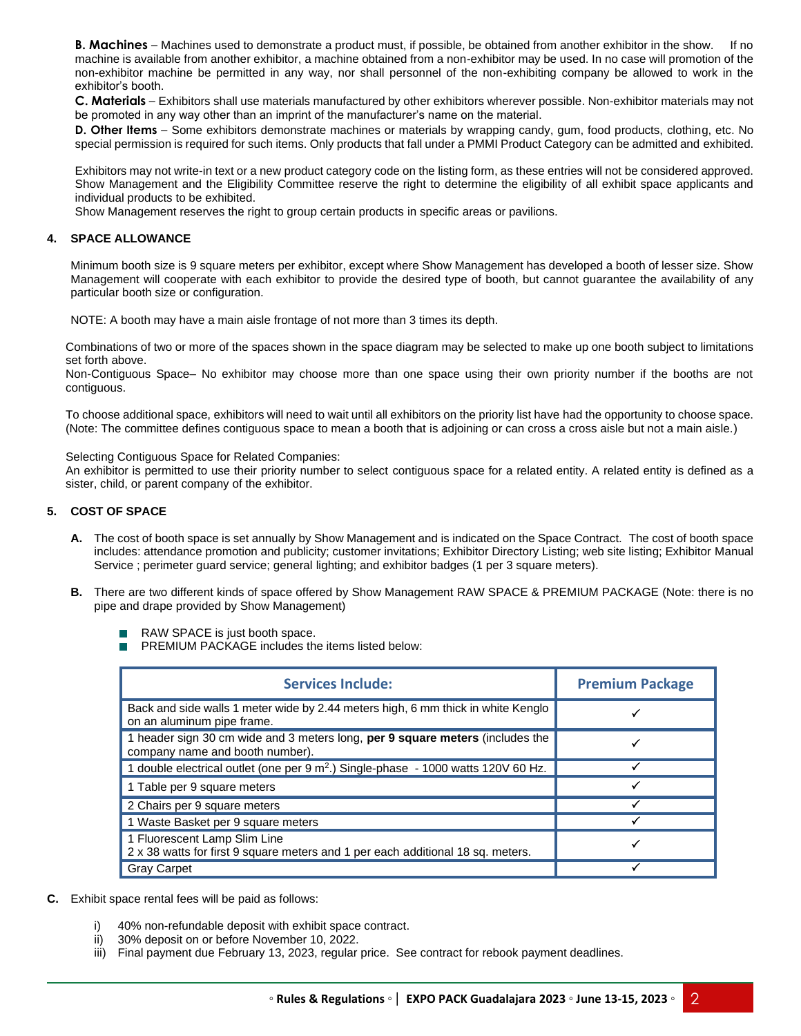**B. Machines** – Machines used to demonstrate a product must, if possible, be obtained from another exhibitor in the show. If no machine is available from another exhibitor, a machine obtained from a non-exhibitor may be used. In no case will promotion of the non-exhibitor machine be permitted in any way, nor shall personnel of the non-exhibiting company be allowed to work in the exhibitor's booth.

**C. Materials** – Exhibitors shall use materials manufactured by other exhibitors wherever possible. Non-exhibitor materials may not be promoted in any way other than an imprint of the manufacturer's name on the material.

**D. Other Items** – Some exhibitors demonstrate machines or materials by wrapping candy, gum, food products, clothing, etc. No special permission is required for such items. Only products that fall under a PMMI Product Category can be admitted and exhibited.

Exhibitors may not write-in text or a new product category code on the listing form, as these entries will not be considered approved. Show Management and the Eligibility Committee reserve the right to determine the eligibility of all exhibit space applicants and individual products to be exhibited.

Show Management reserves the right to group certain products in specific areas or pavilions.

# **4. SPACE ALLOWANCE**

Minimum booth size is 9 square meters per exhibitor, except where Show Management has developed a booth of lesser size. Show Management will cooperate with each exhibitor to provide the desired type of booth, but cannot guarantee the availability of any particular booth size or configuration.

NOTE: A booth may have a main aisle frontage of not more than 3 times its depth.

Combinations of two or more of the spaces shown in the space diagram may be selected to make up one booth subject to limitations set forth above.

Non-Contiguous Space– No exhibitor may choose more than one space using their own priority number if the booths are not contiguous.

To choose additional space, exhibitors will need to wait until all exhibitors on the priority list have had the opportunity to choose space. (Note: The committee defines contiguous space to mean a booth that is adjoining or can cross a cross aisle but not a main aisle.)

Selecting Contiguous Space for Related Companies:

An exhibitor is permitted to use their priority number to select contiguous space for a related entity. A related entity is defined as a sister, child, or parent company of the exhibitor.

# **5. COST OF SPACE**

- **A.** The cost of booth space is set annually by Show Management and is indicated on the Space Contract. The cost of booth space includes: attendance promotion and publicity; customer invitations; Exhibitor Directory Listing; web site listing; Exhibitor Manual Service ; perimeter guard service; general lighting; and exhibitor badges (1 per 3 square meters).
- **B.** There are two different kinds of space offered by Show Management RAW SPACE & PREMIUM PACKAGE (Note: there is no pipe and drape provided by Show Management)
	- RAW SPACE is just booth space.
	- **PREMIUM PACKAGE includes the items listed below:**

| <b>Services Include:</b>                                                                                         | <b>Premium Package</b> |
|------------------------------------------------------------------------------------------------------------------|------------------------|
| Back and side walls 1 meter wide by 2.44 meters high, 6 mm thick in white Kenglo<br>on an aluminum pipe frame.   |                        |
| 1 header sign 30 cm wide and 3 meters long, per 9 square meters (includes the<br>company name and booth number). |                        |
| 1 double electrical outlet (one per 9 m <sup>2</sup> .) Single-phase - 1000 watts 120V 60 Hz.                    |                        |
| 1 Table per 9 square meters                                                                                      |                        |
| 2 Chairs per 9 square meters                                                                                     |                        |
| 1 Waste Basket per 9 square meters                                                                               |                        |
| 1 Fluorescent Lamp Slim Line<br>2 x 38 watts for first 9 square meters and 1 per each additional 18 sq. meters.  |                        |
| <b>Gray Carpet</b>                                                                                               |                        |

- **C.** Exhibit space rental fees will be paid as follows:
	- i) 40% non-refundable deposit with exhibit space contract.
	- ii) 30% deposit on or before November 10, 2022.
	- iii) Final payment due February 13, 2023, regular price. See contract for rebook payment deadlines.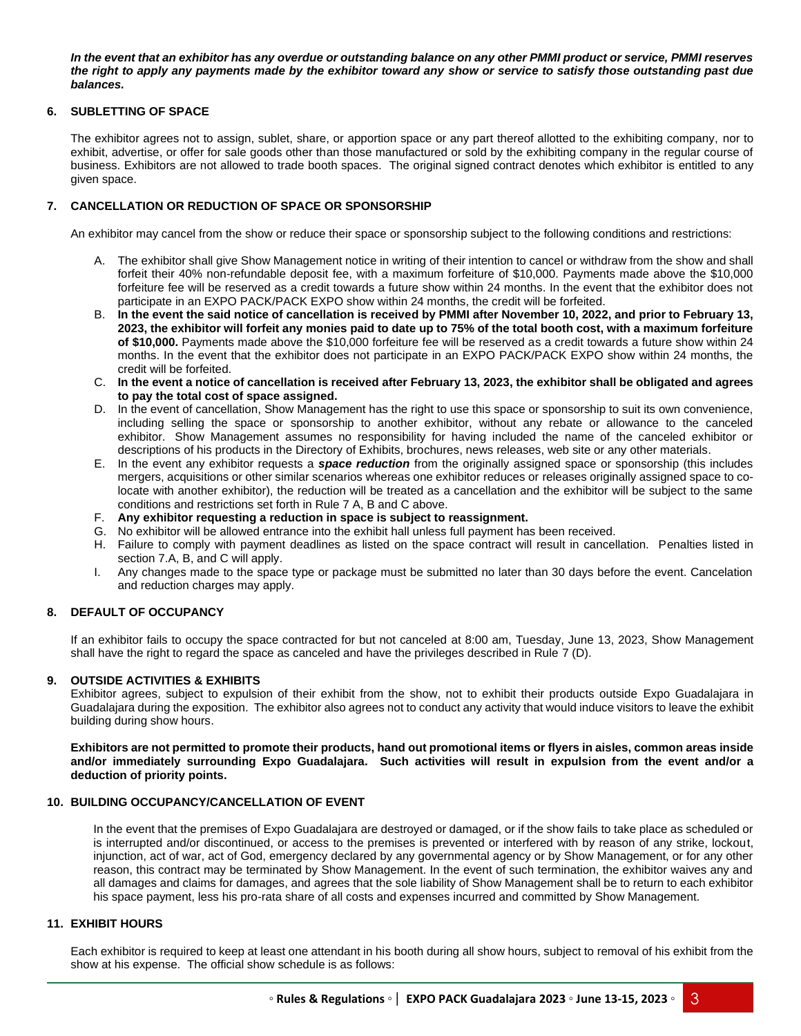*In the event that an exhibitor has any overdue or outstanding balance on any other PMMI product or service, PMMI reserves the right to apply any payments made by the exhibitor toward any show or service to satisfy those outstanding past due balances.*

# **6. SUBLETTING OF SPACE**

The exhibitor agrees not to assign, sublet, share, or apportion space or any part thereof allotted to the exhibiting company, nor to exhibit, advertise, or offer for sale goods other than those manufactured or sold by the exhibiting company in the regular course of business. Exhibitors are not allowed to trade booth spaces. The original signed contract denotes which exhibitor is entitled to any given space.

# **7. CANCELLATION OR REDUCTION OF SPACE OR SPONSORSHIP**

An exhibitor may cancel from the show or reduce their space or sponsorship subject to the following conditions and restrictions:

- A. The exhibitor shall give Show Management notice in writing of their intention to cancel or withdraw from the show and shall forfeit their 40% non-refundable deposit fee, with a maximum forfeiture of \$10,000. Payments made above the \$10,000 forfeiture fee will be reserved as a credit towards a future show within 24 months. In the event that the exhibitor does not participate in an EXPO PACK/PACK EXPO show within 24 months, the credit will be forfeited.
- B. **In the event the said notice of cancellation is received by PMMI after November 10, 2022, and prior to February 13, 2023, the exhibitor will forfeit any monies paid to date up to 75% of the total booth cost, with a maximum forfeiture of \$10,000.** Payments made above the \$10,000 forfeiture fee will be reserved as a credit towards a future show within 24 months. In the event that the exhibitor does not participate in an EXPO PACK/PACK EXPO show within 24 months, the credit will be forfeited.
- C. **In the event a notice of cancellation is received after February 13, 2023, the exhibitor shall be obligated and agrees to pay the total cost of space assigned.**
- D. In the event of cancellation, Show Management has the right to use this space or sponsorship to suit its own convenience, including selling the space or sponsorship to another exhibitor, without any rebate or allowance to the canceled exhibitor. Show Management assumes no responsibility for having included the name of the canceled exhibitor or descriptions of his products in the Directory of Exhibits, brochures, news releases, web site or any other materials.
- E. In the event any exhibitor requests a *space reduction* from the originally assigned space or sponsorship (this includes mergers, acquisitions or other similar scenarios whereas one exhibitor reduces or releases originally assigned space to colocate with another exhibitor), the reduction will be treated as a cancellation and the exhibitor will be subject to the same conditions and restrictions set forth in Rule 7 A, B and C above.
- F. **Any exhibitor requesting a reduction in space is subject to reassignment.**
- G. No exhibitor will be allowed entrance into the exhibit hall unless full payment has been received.
- H. Failure to comply with payment deadlines as listed on the space contract will result in cancellation. Penalties listed in section 7.A, B, and C will apply.
- I. Any changes made to the space type or package must be submitted no later than 30 days before the event. Cancelation and reduction charges may apply.

# **8. DEFAULT OF OCCUPANCY**

If an exhibitor fails to occupy the space contracted for but not canceled at 8:00 am, Tuesday, June 13, 2023, Show Management shall have the right to regard the space as canceled and have the privileges described in Rule 7 (D).

# **9. OUTSIDE ACTIVITIES & EXHIBITS**

Exhibitor agrees, subject to expulsion of their exhibit from the show, not to exhibit their products outside Expo Guadalajara in Guadalajara during the exposition. The exhibitor also agrees not to conduct any activity that would induce visitors to leave the exhibit building during show hours.

**Exhibitors are not permitted to promote their products, hand out promotional items or flyers in aisles, common areas inside and/or immediately surrounding Expo Guadalajara. Such activities will result in expulsion from the event and/or a deduction of priority points.**

# **10. BUILDING OCCUPANCY/CANCELLATION OF EVENT**

In the event that the premises of Expo Guadalajara are destroyed or damaged, or if the show fails to take place as scheduled or is interrupted and/or discontinued, or access to the premises is prevented or interfered with by reason of any strike, lockout, injunction, act of war, act of God, emergency declared by any governmental agency or by Show Management, or for any other reason, this contract may be terminated by Show Management. In the event of such termination, the exhibitor waives any and all damages and claims for damages, and agrees that the sole liability of Show Management shall be to return to each exhibitor his space payment, less his pro-rata share of all costs and expenses incurred and committed by Show Management.

# **11. EXHIBIT HOURS**

Each exhibitor is required to keep at least one attendant in his booth during all show hours, subject to removal of his exhibit from the show at his expense. The official show schedule is as follows: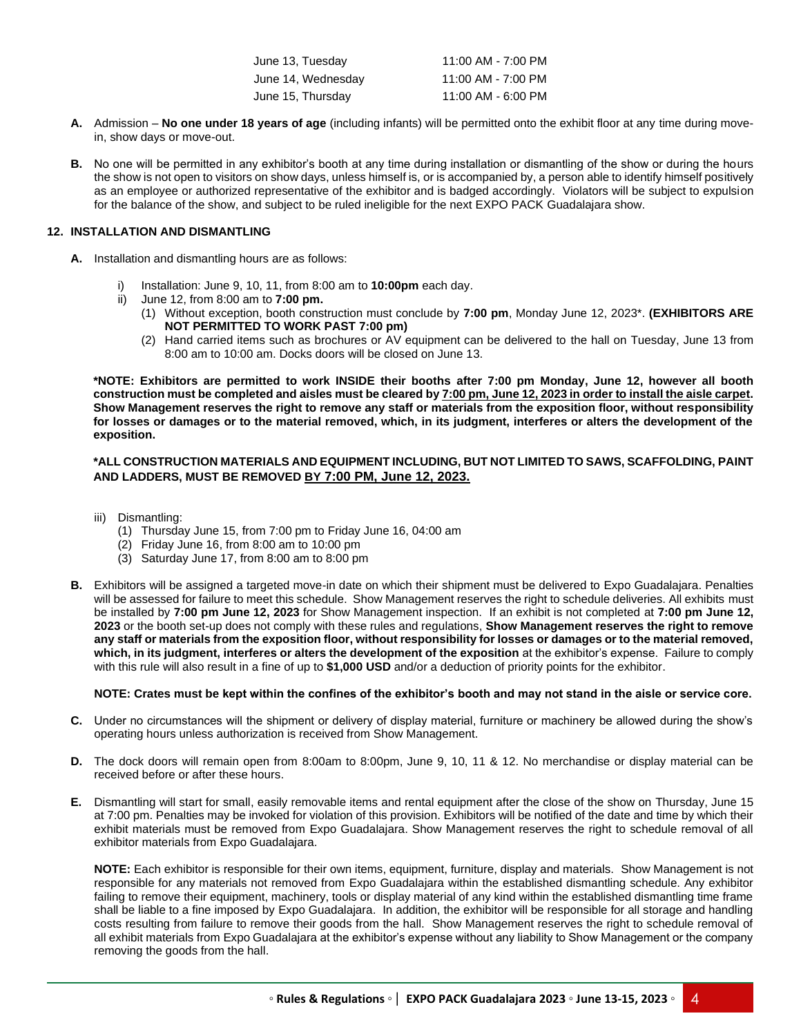| June 13, Tuesday   | 11:00 AM - 7:00 PM |
|--------------------|--------------------|
| June 14, Wednesday | 11:00 AM - 7:00 PM |
| June 15, Thursday  | 11:00 AM - 6:00 PM |

- **A.** Admission **No one under 18 years of age** (including infants) will be permitted onto the exhibit floor at any time during movein, show days or move-out.
- **B.** No one will be permitted in any exhibitor's booth at any time during installation or dismantling of the show or during the hours the show is not open to visitors on show days, unless himself is, or is accompanied by, a person able to identify himself positively as an employee or authorized representative of the exhibitor and is badged accordingly. Violators will be subject to expulsion for the balance of the show, and subject to be ruled ineligible for the next EXPO PACK Guadalajara show.

# **12. INSTALLATION AND DISMANTLING**

- **A.** Installation and dismantling hours are as follows:
	- i) Installation: June 9, 10, 11, from 8:00 am to **10:00pm** each day.
	- ii) June 12, from 8:00 am to **7:00 pm.**
		- (1) Without exception, booth construction must conclude by **7:00 pm**, Monday June 12, 2023\*. **(EXHIBITORS ARE NOT PERMITTED TO WORK PAST 7:00 pm)**
		- (2) Hand carried items such as brochures or AV equipment can be delivered to the hall on Tuesday, June 13 from 8:00 am to 10:00 am. Docks doors will be closed on June 13.

**\*NOTE: Exhibitors are permitted to work INSIDE their booths after 7:00 pm Monday, June 12, however all booth construction must be completed and aisles must be cleared by 7:00 pm, June 12, 2023 in order to install the aisle carpet. Show Management reserves the right to remove any staff or materials from the exposition floor, without responsibility for losses or damages or to the material removed, which, in its judgment, interferes or alters the development of the exposition.**

## **\*ALL CONSTRUCTION MATERIALS AND EQUIPMENT INCLUDING, BUT NOT LIMITED TO SAWS, SCAFFOLDING, PAINT AND LADDERS, MUST BE REMOVED BY 7:00 PM, June 12, 2023.**

- iii) Dismantling:
	- (1) Thursday June 15, from 7:00 pm to Friday June 16, 04:00 am
	- (2) Friday June 16, from 8:00 am to 10:00 pm
	- (3) Saturday June 17, from 8:00 am to 8:00 pm
- **B.** Exhibitors will be assigned a targeted move-in date on which their shipment must be delivered to Expo Guadalajara. Penalties will be assessed for failure to meet this schedule. Show Management reserves the right to schedule deliveries. All exhibits must be installed by **7:00 pm June 12, 2023** for Show Management inspection. If an exhibit is not completed at **7:00 pm June 12, 2023** or the booth set-up does not comply with these rules and regulations, **Show Management reserves the right to remove any staff or materials from the exposition floor, without responsibility for losses or damages or to the material removed, which, in its judgment, interferes or alters the development of the exposition** at the exhibitor's expense. Failure to comply with this rule will also result in a fine of up to **\$1,000 USD** and/or a deduction of priority points for the exhibitor.

# **NOTE: Crates must be kept within the confines of the exhibitor's booth and may not stand in the aisle or service core.**

- **C.** Under no circumstances will the shipment or delivery of display material, furniture or machinery be allowed during the show's operating hours unless authorization is received from Show Management.
- **D.** The dock doors will remain open from 8:00am to 8:00pm, June 9, 10, 11 & 12. No merchandise or display material can be received before or after these hours.
- **E.** Dismantling will start for small, easily removable items and rental equipment after the close of the show on Thursday, June 15 at 7:00 pm. Penalties may be invoked for violation of this provision. Exhibitors will be notified of the date and time by which their exhibit materials must be removed from Expo Guadalajara. Show Management reserves the right to schedule removal of all exhibitor materials from Expo Guadalajara.

**NOTE:** Each exhibitor is responsible for their own items, equipment, furniture, display and materials. Show Management is not responsible for any materials not removed from Expo Guadalajara within the established dismantling schedule. Any exhibitor failing to remove their equipment, machinery, tools or display material of any kind within the established dismantling time frame shall be liable to a fine imposed by Expo Guadalajara. In addition, the exhibitor will be responsible for all storage and handling costs resulting from failure to remove their goods from the hall. Show Management reserves the right to schedule removal of all exhibit materials from Expo Guadalajara at the exhibitor's expense without any liability to Show Management or the company removing the goods from the hall.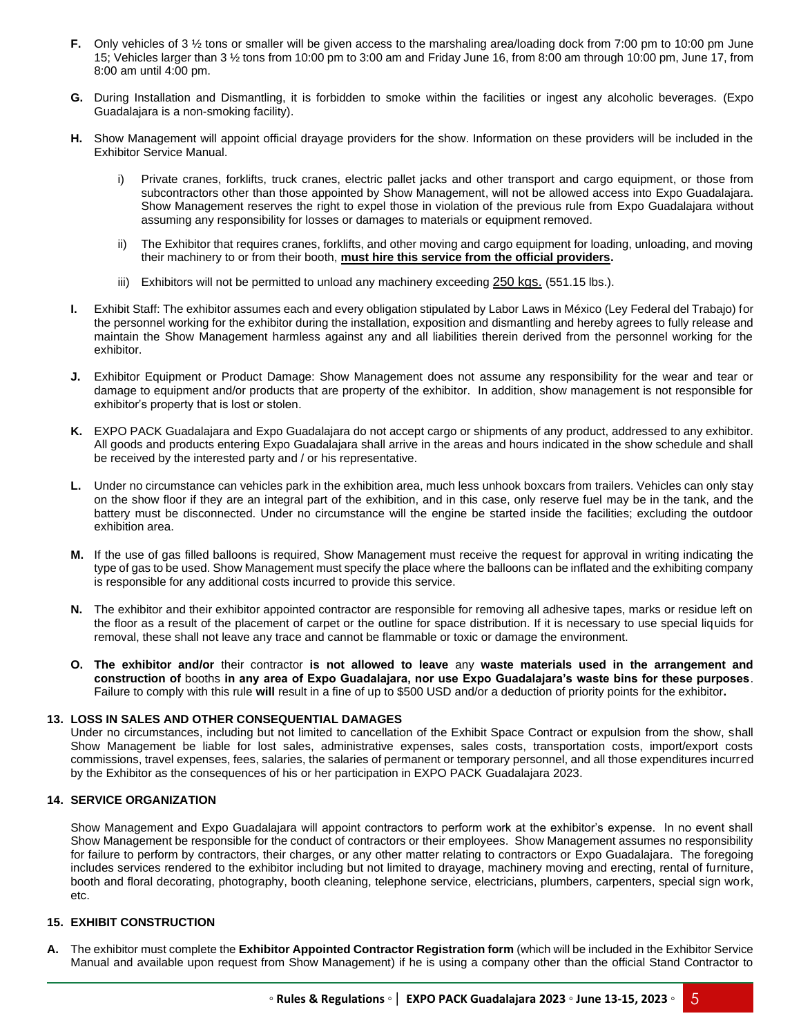- **F.** Only vehicles of 3 <sup>1</sup>/<sub>2</sub> tons or smaller will be given access to the marshaling area/loading dock from 7:00 pm to 10:00 pm June 15; Vehicles larger than 3 ½ tons from 10:00 pm to 3:00 am and Friday June 16, from 8:00 am through 10:00 pm, June 17, from 8:00 am until 4:00 pm.
- **G.** During Installation and Dismantling, it is forbidden to smoke within the facilities or ingest any alcoholic beverages. (Expo Guadalajara is a non-smoking facility).
- **H.** Show Management will appoint official drayage providers for the show. Information on these providers will be included in the Exhibitor Service Manual.
	- i) Private cranes, forklifts, truck cranes, electric pallet jacks and other transport and cargo equipment, or those from subcontractors other than those appointed by Show Management, will not be allowed access into Expo Guadalajara. Show Management reserves the right to expel those in violation of the previous rule from Expo Guadalajara without assuming any responsibility for losses or damages to materials or equipment removed.
	- ii) The Exhibitor that requires cranes, forklifts, and other moving and cargo equipment for loading, unloading, and moving their machinery to or from their booth, **must hire this service from the official providers.**
	- iii) Exhibitors will not be permitted to unload any machinery exceeding 250 kgs. (551.15 lbs.).
- **I.** Exhibit Staff: The exhibitor assumes each and every obligation stipulated by Labor Laws in México (Ley Federal del Trabajo) for the personnel working for the exhibitor during the installation, exposition and dismantling and hereby agrees to fully release and maintain the Show Management harmless against any and all liabilities therein derived from the personnel working for the exhibitor.
- **J.** Exhibitor Equipment or Product Damage: Show Management does not assume any responsibility for the wear and tear or damage to equipment and/or products that are property of the exhibitor. In addition, show management is not responsible for exhibitor's property that is lost or stolen.
- **K.** EXPO PACK Guadalajara and Expo Guadalajara do not accept cargo or shipments of any product, addressed to any exhibitor. All goods and products entering Expo Guadalajara shall arrive in the areas and hours indicated in the show schedule and shall be received by the interested party and / or his representative.
- **L.** Under no circumstance can vehicles park in the exhibition area, much less unhook boxcars from trailers. Vehicles can only stay on the show floor if they are an integral part of the exhibition, and in this case, only reserve fuel may be in the tank, and the battery must be disconnected. Under no circumstance will the engine be started inside the facilities; excluding the outdoor exhibition area.
- **M.** If the use of gas filled balloons is required, Show Management must receive the request for approval in writing indicating the type of gas to be used. Show Management must specify the place where the balloons can be inflated and the exhibiting company is responsible for any additional costs incurred to provide this service.
- **N.** The exhibitor and their exhibitor appointed contractor are responsible for removing all adhesive tapes, marks or residue left on the floor as a result of the placement of carpet or the outline for space distribution. If it is necessary to use special liquids for removal, these shall not leave any trace and cannot be flammable or toxic or damage the environment.
- **O. The exhibitor and/or** their contractor **is not allowed to leave** any **waste materials used in the arrangement and construction of** booths **in any area of Expo Guadalajara, nor use Expo Guadalajara's waste bins for these purposes**. Failure to comply with this rule **will** result in a fine of up to \$500 USD and/or a deduction of priority points for the exhibitor**.**

# **13. LOSS IN SALES AND OTHER CONSEQUENTIAL DAMAGES**

Under no circumstances, including but not limited to cancellation of the Exhibit Space Contract or expulsion from the show, shall Show Management be liable for lost sales, administrative expenses, sales costs, transportation costs, import/export costs commissions, travel expenses, fees, salaries, the salaries of permanent or temporary personnel, and all those expenditures incurred by the Exhibitor as the consequences of his or her participation in EXPO PACK Guadalajara 2023.

# **14. SERVICE ORGANIZATION**

Show Management and Expo Guadalajara will appoint contractors to perform work at the exhibitor's expense. In no event shall Show Management be responsible for the conduct of contractors or their employees. Show Management assumes no responsibility for failure to perform by contractors, their charges, or any other matter relating to contractors or Expo Guadalajara. The foregoing includes services rendered to the exhibitor including but not limited to drayage, machinery moving and erecting, rental of furniture, booth and floral decorating, photography, booth cleaning, telephone service, electricians, plumbers, carpenters, special sign work, etc.

# **15. EXHIBIT CONSTRUCTION**

**A.** The exhibitor must complete the **Exhibitor Appointed Contractor Registration form** (which will be included in the Exhibitor Service Manual and available upon request from Show Management) if he is using a company other than the official Stand Contractor to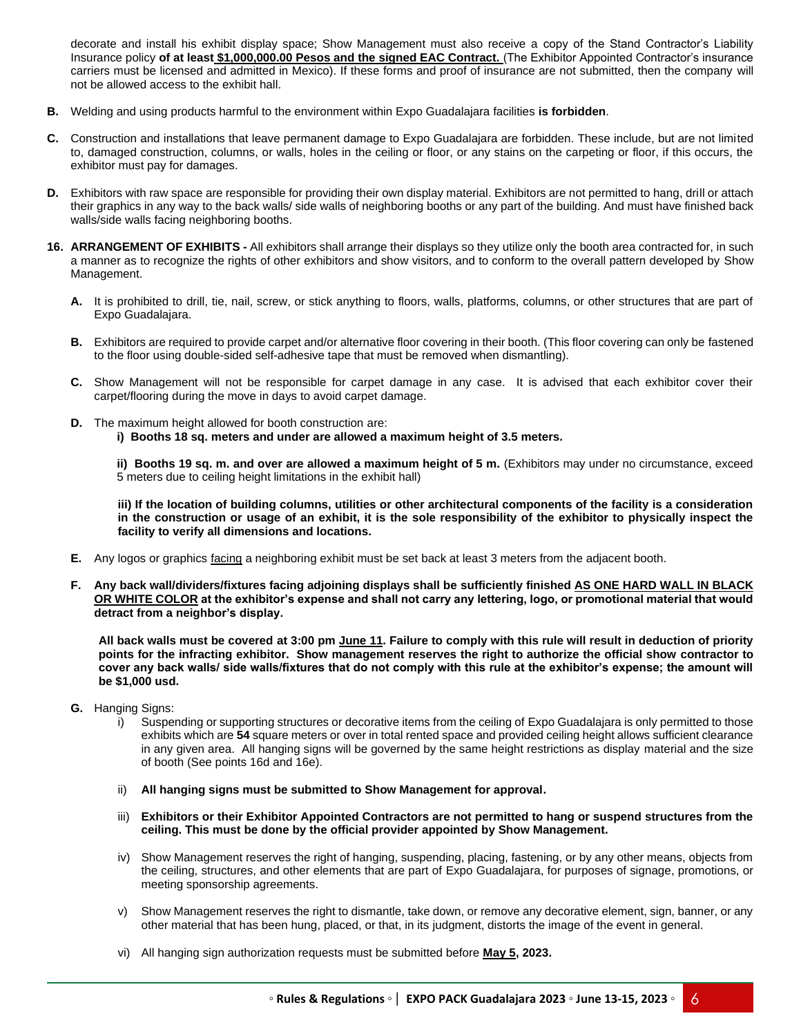decorate and install his exhibit display space; Show Management must also receive a copy of the Stand Contractor's Liability Insurance policy **of at least \$1,000,000.00 Pesos and the signed EAC Contract.** (The Exhibitor Appointed Contractor's insurance carriers must be licensed and admitted in Mexico). If these forms and proof of insurance are not submitted, then the company will not be allowed access to the exhibit hall.

- **B.** Welding and using products harmful to the environment within Expo Guadalajara facilities **is forbidden**.
- **C.** Construction and installations that leave permanent damage to Expo Guadalajara are forbidden. These include, but are not limited to, damaged construction, columns, or walls, holes in the ceiling or floor, or any stains on the carpeting or floor, if this occurs, the exhibitor must pay for damages.
- **D.** Exhibitors with raw space are responsible for providing their own display material. Exhibitors are not permitted to hang, drill or attach their graphics in any way to the back walls/ side walls of neighboring booths or any part of the building. And must have finished back walls/side walls facing neighboring booths.
- **16. ARRANGEMENT OF EXHIBITS -** All exhibitors shall arrange their displays so they utilize only the booth area contracted for, in such a manner as to recognize the rights of other exhibitors and show visitors, and to conform to the overall pattern developed by Show Management.
	- **A.** It is prohibited to drill, tie, nail, screw, or stick anything to floors, walls, platforms, columns, or other structures that are part of Expo Guadalajara.
	- **B.** Exhibitors are required to provide carpet and/or alternative floor covering in their booth. (This floor covering can only be fastened to the floor using double-sided self-adhesive tape that must be removed when dismantling).
	- **C.** Show Management will not be responsible for carpet damage in any case. It is advised that each exhibitor cover their carpet/flooring during the move in days to avoid carpet damage.
	- **D.** The maximum height allowed for booth construction are: **i) Booths 18 sq. meters and under are allowed a maximum height of 3.5 meters.**

**ii) Booths 19 sq. m. and over are allowed a maximum height of 5 m.** (Exhibitors may under no circumstance, exceed 5 meters due to ceiling height limitations in the exhibit hall)

**iii) If the location of building columns, utilities or other architectural components of the facility is a consideration in the construction or usage of an exhibit, it is the sole responsibility of the exhibitor to physically inspect the facility to verify all dimensions and locations.**

- **E.** Any logos or graphics facing a neighboring exhibit must be set back at least 3 meters from the adjacent booth.
- **F. Any back wall/dividers/fixtures facing adjoining displays shall be sufficiently finished AS ONE HARD WALL IN BLACK OR WHITE COLOR at the exhibitor's expense and shall not carry any lettering, logo, or promotional material that would detract from a neighbor's display.**

**All back walls must be covered at 3:00 pm June 11. Failure to comply with this rule will result in deduction of priority points for the infracting exhibitor. Show management reserves the right to authorize the official show contractor to cover any back walls/ side walls/fixtures that do not comply with this rule at the exhibitor's expense; the amount will be \$1,000 usd.**

- **G.** Hanging Signs:
	- Suspending or supporting structures or decorative items from the ceiling of Expo Guadalajara is only permitted to those exhibits which are **54** square meters or over in total rented space and provided ceiling height allows sufficient clearance in any given area. All hanging signs will be governed by the same height restrictions as display material and the size of booth (See points 16d and 16e).
	- ii) **All hanging signs must be submitted to Show Management for approval.**
	- iii) **Exhibitors or their Exhibitor Appointed Contractors are not permitted to hang or suspend structures from the ceiling. This must be done by the official provider appointed by Show Management.**
	- iv) Show Management reserves the right of hanging, suspending, placing, fastening, or by any other means, objects from the ceiling, structures, and other elements that are part of Expo Guadalajara, for purposes of signage, promotions, or meeting sponsorship agreements.
	- v) Show Management reserves the right to dismantle, take down, or remove any decorative element, sign, banner, or any other material that has been hung, placed, or that, in its judgment, distorts the image of the event in general.
	- vi) All hanging sign authorization requests must be submitted before **May 5, 2023.**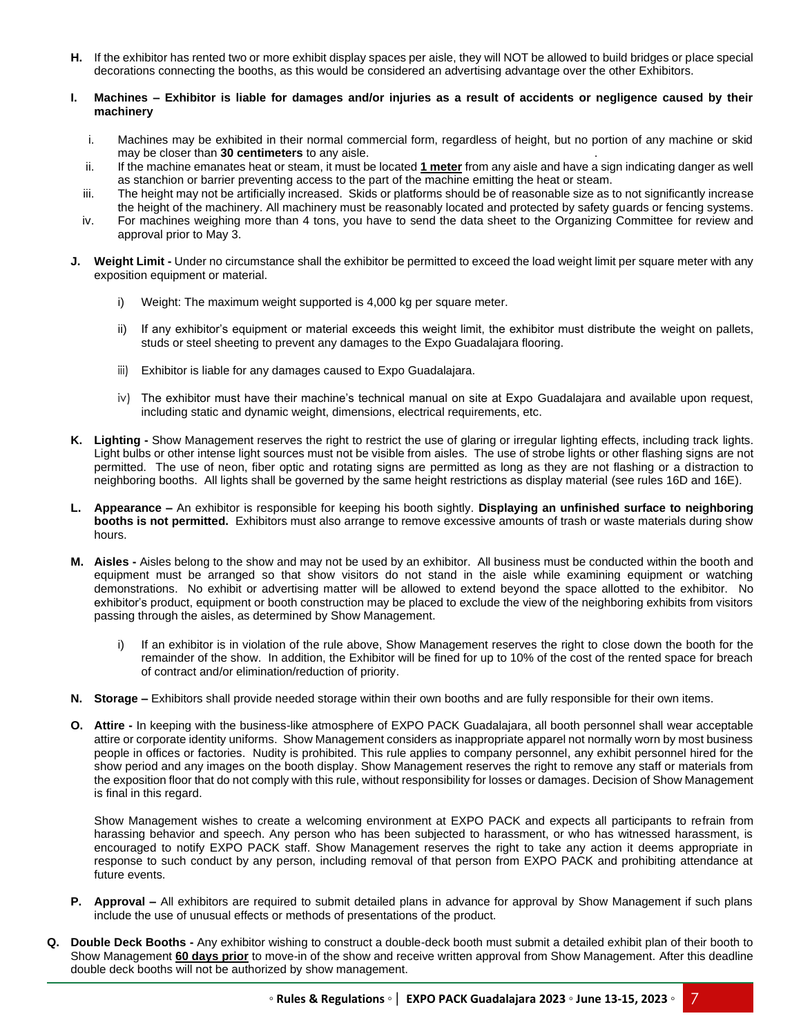**H.** If the exhibitor has rented two or more exhibit display spaces per aisle, they will NOT be allowed to build bridges or place special decorations connecting the booths, as this would be considered an advertising advantage over the other Exhibitors.

# **I. Machines – Exhibitor is liable for damages and/or injuries as a result of accidents or negligence caused by their machinery**

- i. Machines may be exhibited in their normal commercial form, regardless of height, but no portion of any machine or skid may be closer than **30 centimeters** to any aisle. .
- ii. If the machine emanates heat or steam, it must be located **1 meter** from any aisle and have a sign indicating danger as well as stanchion or barrier preventing access to the part of the machine emitting the heat or steam.
- iii. The height may not be artificially increased. Skids or platforms should be of reasonable size as to not significantly increase the height of the machinery. All machinery must be reasonably located and protected by safety guards or fencing systems.
- iv. For machines weighing more than 4 tons, you have to send the data sheet to the Organizing Committee for review and approval prior to May 3.
- **J. Weight Limit -** Under no circumstance shall the exhibitor be permitted to exceed the load weight limit per square meter with any exposition equipment or material.
	- i) Weight: The maximum weight supported is 4,000 kg per square meter.
	- ii) If any exhibitor's equipment or material exceeds this weight limit, the exhibitor must distribute the weight on pallets, studs or steel sheeting to prevent any damages to the Expo Guadalajara flooring.
	- iii) Exhibitor is liable for any damages caused to Expo Guadalajara.
	- iv) The exhibitor must have their machine's technical manual on site at Expo Guadalajara and available upon request, including static and dynamic weight, dimensions, electrical requirements, etc.
- **K. Lighting -** Show Management reserves the right to restrict the use of glaring or irregular lighting effects, including track lights. Light bulbs or other intense light sources must not be visible from aisles. The use of strobe lights or other flashing signs are not permitted. The use of neon, fiber optic and rotating signs are permitted as long as they are not flashing or a distraction to neighboring booths. All lights shall be governed by the same height restrictions as display material (see rules 16D and 16E).
- **L. Appearance –** An exhibitor is responsible for keeping his booth sightly. **Displaying an unfinished surface to neighboring booths is not permitted.** Exhibitors must also arrange to remove excessive amounts of trash or waste materials during show hours.
- **M. Aisles -** Aisles belong to the show and may not be used by an exhibitor. All business must be conducted within the booth and equipment must be arranged so that show visitors do not stand in the aisle while examining equipment or watching demonstrations. No exhibit or advertising matter will be allowed to extend beyond the space allotted to the exhibitor. No exhibitor's product, equipment or booth construction may be placed to exclude the view of the neighboring exhibits from visitors passing through the aisles, as determined by Show Management.
	- i) If an exhibitor is in violation of the rule above, Show Management reserves the right to close down the booth for the remainder of the show. In addition, the Exhibitor will be fined for up to 10% of the cost of the rented space for breach of contract and/or elimination/reduction of priority.
- **N. Storage –** Exhibitors shall provide needed storage within their own booths and are fully responsible for their own items.
- **O. Attire -** In keeping with the business-like atmosphere of EXPO PACK Guadalajara, all booth personnel shall wear acceptable attire or corporate identity uniforms. Show Management considers as inappropriate apparel not normally worn by most business people in offices or factories. Nudity is prohibited. This rule applies to company personnel, any exhibit personnel hired for the show period and any images on the booth display. Show Management reserves the right to remove any staff or materials from the exposition floor that do not comply with this rule, without responsibility for losses or damages. Decision of Show Management is final in this regard.

Show Management wishes to create a welcoming environment at EXPO PACK and expects all participants to refrain from harassing behavior and speech. Any person who has been subjected to harassment, or who has witnessed harassment, is encouraged to notify EXPO PACK staff. Show Management reserves the right to take any action it deems appropriate in response to such conduct by any person, including removal of that person from EXPO PACK and prohibiting attendance at future events.

- **P. Approval –** All exhibitors are required to submit detailed plans in advance for approval by Show Management if such plans include the use of unusual effects or methods of presentations of the product.
- **Q. Double Deck Booths -** Any exhibitor wishing to construct a double-deck booth must submit a detailed exhibit plan of their booth to Show Management **60 days prior** to move-in of the show and receive written approval from Show Management. After this deadline double deck booths will not be authorized by show management.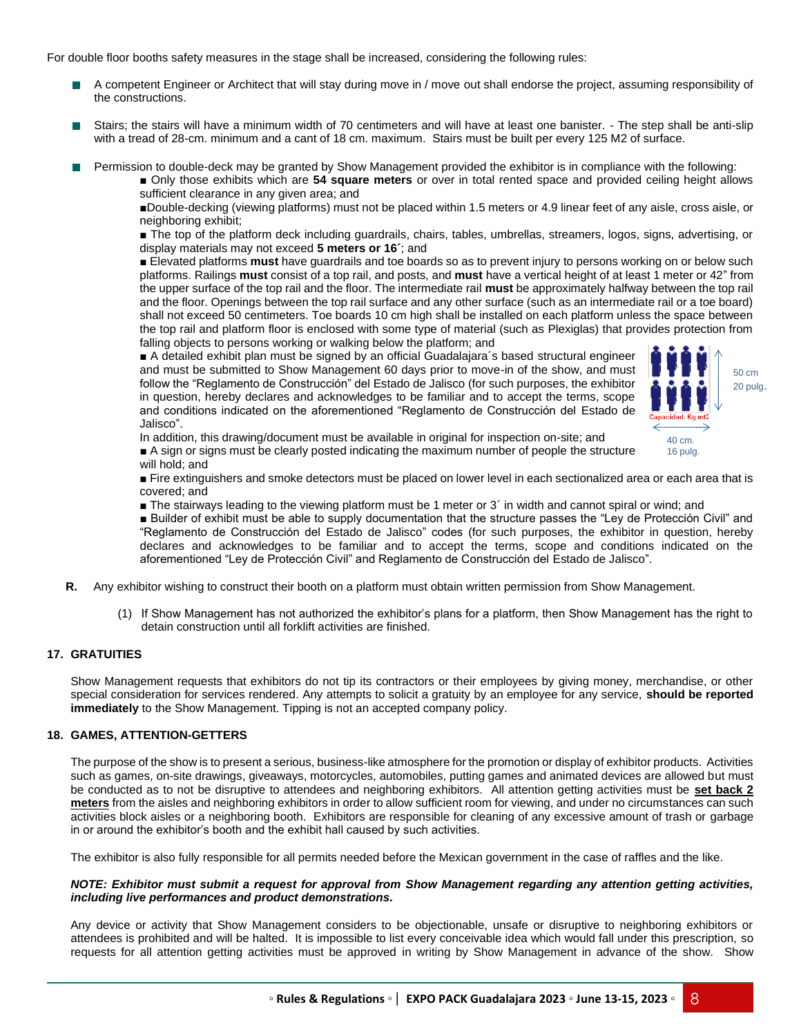For double floor booths safety measures in the stage shall be increased, considering the following rules:

- A competent Engineer or Architect that will stay during move in / move out shall endorse the project, assuming responsibility of **The Contract** the constructions.
- Stairs; the stairs will have a minimum width of 70 centimeters and will have at least one banister. The step shall be anti-slip with a tread of 28-cm. minimum and a cant of 18 cm. maximum. Stairs must be built per every 125 M2 of surface.
	- Permission to double-deck may be granted by Show Management provided the exhibitor is in compliance with the following:
		- Only those exhibits which are **54 square meters** or over in total rented space and provided ceiling height allows sufficient clearance in any given area; and

■Double-decking (viewing platforms) must not be placed within 1.5 meters or 4.9 linear feet of any aisle, cross aisle, or neighboring exhibit;

■ The top of the platform deck including guardrails, chairs, tables, umbrellas, streamers, logos, signs, advertising, or display materials may not exceed **5 meters or 16´**; and

■ Elevated platforms **must** have guardrails and toe boards so as to prevent injury to persons working on or below such platforms. Railings **must** consist of a top rail, and posts, and **must** have a vertical height of at least 1 meter or 42" from the upper surface of the top rail and the floor. The intermediate rail **must** be approximately halfway between the top rail and the floor. Openings between the top rail surface and any other surface (such as an intermediate rail or a toe board) shall not exceed 50 centimeters. Toe boards 10 cm high shall be installed on each platform unless the space between the top rail and platform floor is enclosed with some type of material (such as Plexiglas) that provides protection from falling objects to persons working or walking below the platform; and

■ A detailed exhibit plan must be signed by an official Guadalajara's based structural engineer and must be submitted to Show Management 60 days prior to move-in of the show, and must follow the "Reglamento de Construcción" del Estado de Jalisco (for such purposes, the exhibitor in question, hereby declares and acknowledges to be familiar and to accept the terms, scope and conditions indicated on the aforementioned "Reglamento de Construcción del Estado de Jalisco".



In addition, this drawing/document must be available in original for inspection on-site; and ■ A sign or signs must be clearly posted indicating the maximum number of people the structure

will hold; and

■ Fire extinguishers and smoke detectors must be placed on lower level in each sectionalized area or each area that is covered; and

- The stairways leading to the viewing platform must be 1 meter or 3´ in width and cannot spiral or wind; and
- Builder of exhibit must be able to supply documentation that the structure passes the "Ley de Protección Civil" and "Reglamento de Construcción del Estado de Jalisco" codes (for such purposes, the exhibitor in question, hereby declares and acknowledges to be familiar and to accept the terms, scope and conditions indicated on the aforementioned "Ley de Protección Civil" and Reglamento de Construcción del Estado de Jalisco".
- **R.** Any exhibitor wishing to construct their booth on a platform must obtain written permission from Show Management.
	- (1) If Show Management has not authorized the exhibitor's plans for a platform, then Show Management has the right to detain construction until all forklift activities are finished.

# **17. GRATUITIES**

Show Management requests that exhibitors do not tip its contractors or their employees by giving money, merchandise, or other special consideration for services rendered. Any attempts to solicit a gratuity by an employee for any service, **should be reported immediately** to the Show Management. Tipping is not an accepted company policy.

#### **18. GAMES, ATTENTION-GETTERS**

The purpose of the show is to present a serious, business-like atmosphere for the promotion or display of exhibitor products. Activities such as games, on-site drawings, giveaways, motorcycles, automobiles, putting games and animated devices are allowed but must be conducted as to not be disruptive to attendees and neighboring exhibitors. All attention getting activities must be **set back 2 meters** from the aisles and neighboring exhibitors in order to allow sufficient room for viewing, and under no circumstances can such activities block aisles or a neighboring booth. Exhibitors are responsible for cleaning of any excessive amount of trash or garbage in or around the exhibitor's booth and the exhibit hall caused by such activities.

The exhibitor is also fully responsible for all permits needed before the Mexican government in the case of raffles and the like.

#### *NOTE: Exhibitor must submit a request for approval from Show Management regarding any attention getting activities, including live performances and product demonstrations.*

Any device or activity that Show Management considers to be objectionable, unsafe or disruptive to neighboring exhibitors or attendees is prohibited and will be halted. It is impossible to list every conceivable idea which would fall under this prescription, so requests for all attention getting activities must be approved in writing by Show Management in advance of the show. Show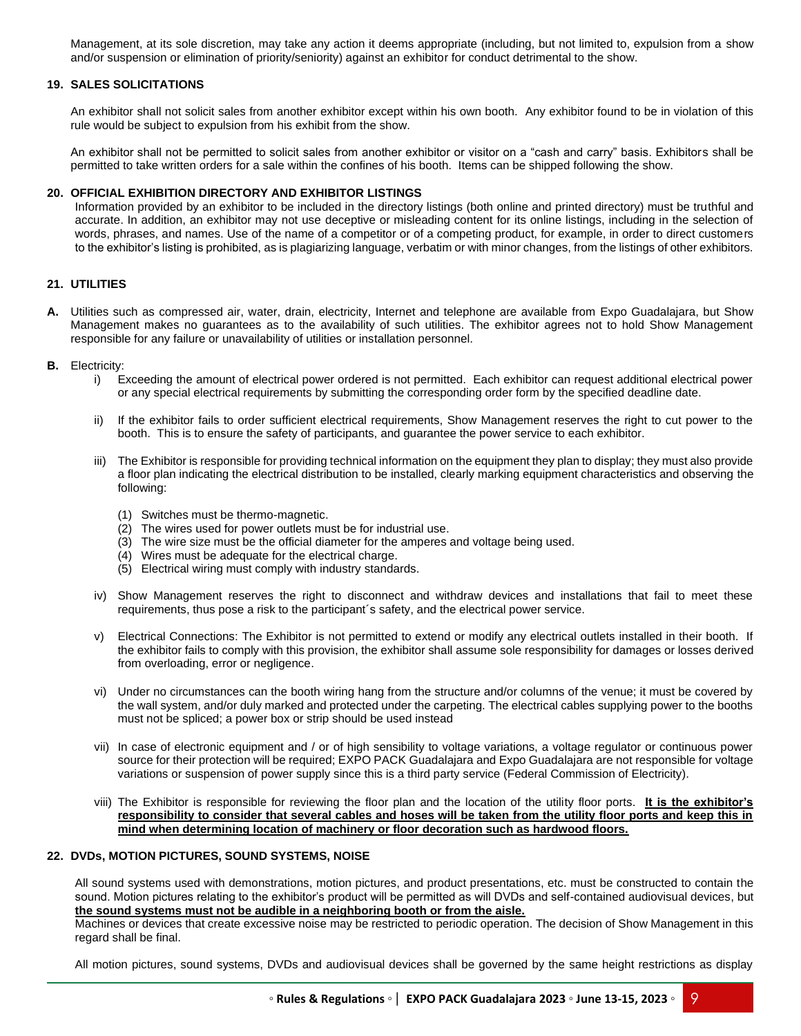Management, at its sole discretion, may take any action it deems appropriate (including, but not limited to, expulsion from a show and/or suspension or elimination of priority/seniority) against an exhibitor for conduct detrimental to the show.

# **19. SALES SOLICITATIONS**

An exhibitor shall not solicit sales from another exhibitor except within his own booth. Any exhibitor found to be in violation of this rule would be subject to expulsion from his exhibit from the show.

An exhibitor shall not be permitted to solicit sales from another exhibitor or visitor on a "cash and carry" basis. Exhibitors shall be permitted to take written orders for a sale within the confines of his booth. Items can be shipped following the show.

#### **20. OFFICIAL EXHIBITION DIRECTORY AND EXHIBITOR LISTINGS**

Information provided by an exhibitor to be included in the directory listings (both online and printed directory) must be truthful and accurate. In addition, an exhibitor may not use deceptive or misleading content for its online listings, including in the selection of words, phrases, and names. Use of the name of a competitor or of a competing product, for example, in order to direct customers to the exhibitor's listing is prohibited, as is plagiarizing language, verbatim or with minor changes, from the listings of other exhibitors.

# **21. UTILITIES**

- **A.** Utilities such as compressed air, water, drain, electricity, Internet and telephone are available from Expo Guadalajara, but Show Management makes no guarantees as to the availability of such utilities. The exhibitor agrees not to hold Show Management responsible for any failure or unavailability of utilities or installation personnel.
- **B.** Electricity:
	- i) Exceeding the amount of electrical power ordered is not permitted. Each exhibitor can request additional electrical power or any special electrical requirements by submitting the corresponding order form by the specified deadline date.
	- ii) If the exhibitor fails to order sufficient electrical requirements, Show Management reserves the right to cut power to the booth. This is to ensure the safety of participants, and guarantee the power service to each exhibitor.
	- iii) The Exhibitor is responsible for providing technical information on the equipment they plan to display; they must also provide a floor plan indicating the electrical distribution to be installed, clearly marking equipment characteristics and observing the following:
		- (1) Switches must be thermo-magnetic.
		- (2) The wires used for power outlets must be for industrial use.
		- (3) The wire size must be the official diameter for the amperes and voltage being used.
		- (4) Wires must be adequate for the electrical charge.
		- (5) Electrical wiring must comply with industry standards.
	- iv) Show Management reserves the right to disconnect and withdraw devices and installations that fail to meet these requirements, thus pose a risk to the participant´s safety, and the electrical power service.
	- v) Electrical Connections: The Exhibitor is not permitted to extend or modify any electrical outlets installed in their booth. If the exhibitor fails to comply with this provision, the exhibitor shall assume sole responsibility for damages or losses derived from overloading, error or negligence.
	- vi) Under no circumstances can the booth wiring hang from the structure and/or columns of the venue; it must be covered by the wall system, and/or duly marked and protected under the carpeting. The electrical cables supplying power to the booths must not be spliced; a power box or strip should be used instead
	- vii) In case of electronic equipment and / or of high sensibility to voltage variations, a voltage regulator or continuous power source for their protection will be required; EXPO PACK Guadalajara and Expo Guadalajara are not responsible for voltage variations or suspension of power supply since this is a third party service (Federal Commission of Electricity).
	- viii) The Exhibitor is responsible for reviewing the floor plan and the location of the utility floor ports. **It is the exhibitor's responsibility to consider that several cables and hoses will be taken from the utility floor ports and keep this in mind when determining location of machinery or floor decoration such as hardwood floors.**

# **22. DVDs, MOTION PICTURES, SOUND SYSTEMS, NOISE**

All sound systems used with demonstrations, motion pictures, and product presentations, etc. must be constructed to contain the sound. Motion pictures relating to the exhibitor's product will be permitted as will DVDs and self-contained audiovisual devices, but **the sound systems must not be audible in a neighboring booth or from the aisle.** 

Machines or devices that create excessive noise may be restricted to periodic operation. The decision of Show Management in this regard shall be final.

All motion pictures, sound systems, DVDs and audiovisual devices shall be governed by the same height restrictions as display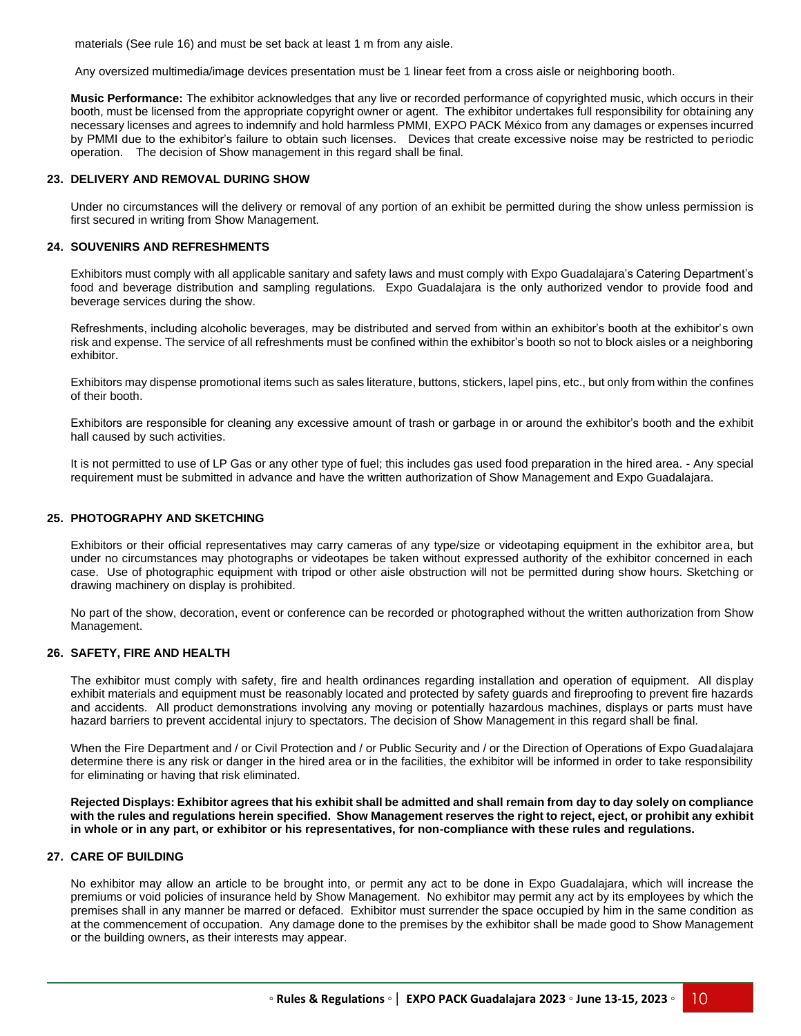materials (See rule 16) and must be set back at least 1 m from any aisle.

Any oversized multimedia/image devices presentation must be 1 linear feet from a cross aisle or neighboring booth.

**Music Performance:** The exhibitor acknowledges that any live or recorded performance of copyrighted music, which occurs in their booth, must be licensed from the appropriate copyright owner or agent. The exhibitor undertakes full responsibility for obtaining any necessary licenses and agrees to indemnify and hold harmless PMMI, EXPO PACK México from any damages or expenses incurred by PMMI due to the exhibitor's failure to obtain such licenses. Devices that create excessive noise may be restricted to periodic operation. The decision of Show management in this regard shall be final.

#### **23. DELIVERY AND REMOVAL DURING SHOW**

Under no circumstances will the delivery or removal of any portion of an exhibit be permitted during the show unless permission is first secured in writing from Show Management.

# **24. SOUVENIRS AND REFRESHMENTS**

Exhibitors must comply with all applicable sanitary and safety laws and must comply with Expo Guadalajara's Catering Department's food and beverage distribution and sampling regulations. Expo Guadalajara is the only authorized vendor to provide food and beverage services during the show.

Refreshments, including alcoholic beverages, may be distributed and served from within an exhibitor's booth at the exhibitor's own risk and expense. The service of all refreshments must be confined within the exhibitor's booth so not to block aisles or a neighboring exhibitor.

Exhibitors may dispense promotional items such as sales literature, buttons, stickers, lapel pins, etc., but only from within the confines of their booth.

Exhibitors are responsible for cleaning any excessive amount of trash or garbage in or around the exhibitor's booth and the exhibit hall caused by such activities.

It is not permitted to use of LP Gas or any other type of fuel; this includes gas used food preparation in the hired area. - Any special requirement must be submitted in advance and have the written authorization of Show Management and Expo Guadalajara.

## **25. PHOTOGRAPHY AND SKETCHING**

Exhibitors or their official representatives may carry cameras of any type/size or videotaping equipment in the exhibitor area, but under no circumstances may photographs or videotapes be taken without expressed authority of the exhibitor concerned in each case. Use of photographic equipment with tripod or other aisle obstruction will not be permitted during show hours. Sketching or drawing machinery on display is prohibited.

No part of the show, decoration, event or conference can be recorded or photographed without the written authorization from Show Management.

#### **26. SAFETY, FIRE AND HEALTH**

The exhibitor must comply with safety, fire and health ordinances regarding installation and operation of equipment. All display exhibit materials and equipment must be reasonably located and protected by safety guards and fireproofing to prevent fire hazards and accidents. All product demonstrations involving any moving or potentially hazardous machines, displays or parts must have hazard barriers to prevent accidental injury to spectators. The decision of Show Management in this regard shall be final.

When the Fire Department and / or Civil Protection and / or Public Security and / or the Direction of Operations of Expo Guadalajara determine there is any risk or danger in the hired area or in the facilities, the exhibitor will be informed in order to take responsibility for eliminating or having that risk eliminated.

**Rejected Displays: Exhibitor agrees that his exhibit shall be admitted and shall remain from day to day solely on compliance with the rules and regulations herein specified. Show Management reserves the right to reject, eject, or prohibit any exhibit in whole or in any part, or exhibitor or his representatives, for non-compliance with these rules and regulations.**

# **27. CARE OF BUILDING**

No exhibitor may allow an article to be brought into, or permit any act to be done in Expo Guadalajara, which will increase the premiums or void policies of insurance held by Show Management. No exhibitor may permit any act by its employees by which the premises shall in any manner be marred or defaced. Exhibitor must surrender the space occupied by him in the same condition as at the commencement of occupation. Any damage done to the premises by the exhibitor shall be made good to Show Management or the building owners, as their interests may appear.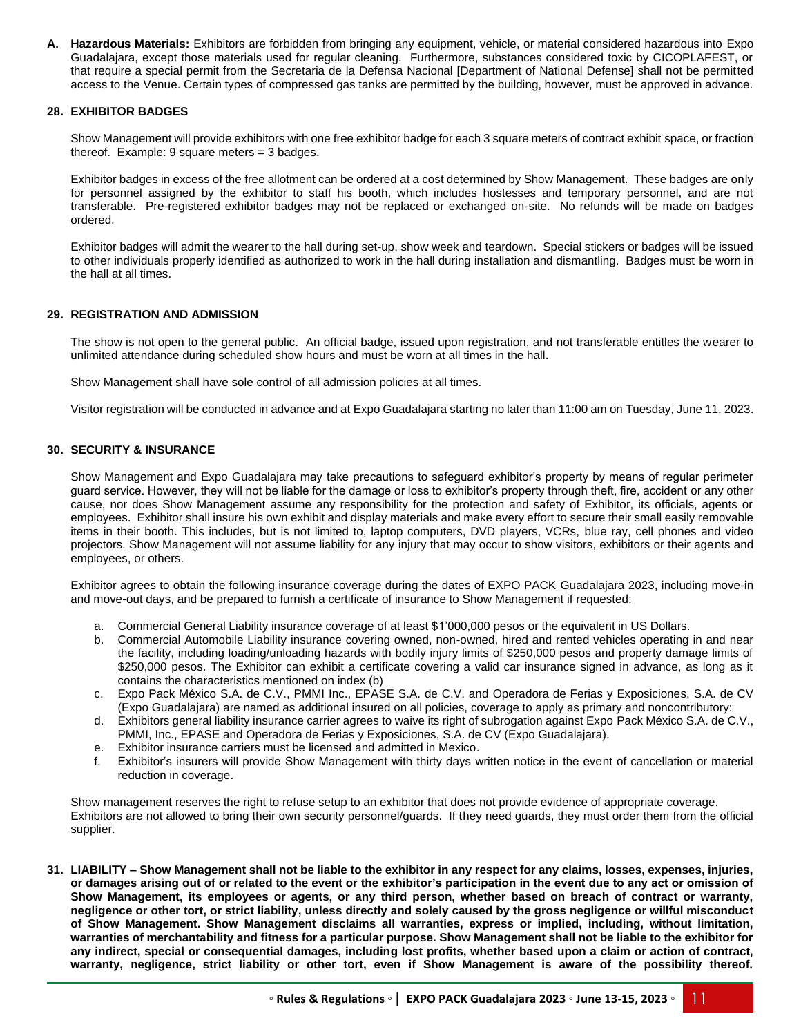**A. Hazardous Materials:** Exhibitors are forbidden from bringing any equipment, vehicle, or material considered hazardous into Expo Guadalajara, except those materials used for regular cleaning. Furthermore, substances considered toxic by CICOPLAFEST, or that require a special permit from the Secretaria de la Defensa Nacional [Department of National Defense] shall not be permitted access to the Venue. Certain types of compressed gas tanks are permitted by the building, however, must be approved in advance.

# **28. EXHIBITOR BADGES**

Show Management will provide exhibitors with one free exhibitor badge for each 3 square meters of contract exhibit space, or fraction thereof. Example: 9 square meters = 3 badges.

Exhibitor badges in excess of the free allotment can be ordered at a cost determined by Show Management. These badges are only for personnel assigned by the exhibitor to staff his booth, which includes hostesses and temporary personnel, and are not transferable. Pre-registered exhibitor badges may not be replaced or exchanged on-site. No refunds will be made on badges ordered.

Exhibitor badges will admit the wearer to the hall during set-up, show week and teardown. Special stickers or badges will be issued to other individuals properly identified as authorized to work in the hall during installation and dismantling. Badges must be worn in the hall at all times.

# **29. REGISTRATION AND ADMISSION**

The show is not open to the general public. An official badge, issued upon registration, and not transferable entitles the wearer to unlimited attendance during scheduled show hours and must be worn at all times in the hall.

Show Management shall have sole control of all admission policies at all times.

Visitor registration will be conducted in advance and at Expo Guadalajara starting no later than 11:00 am on Tuesday, June 11, 2023.

# **30. SECURITY & INSURANCE**

Show Management and Expo Guadalajara may take precautions to safeguard exhibitor's property by means of regular perimeter guard service. However, they will not be liable for the damage or loss to exhibitor's property through theft, fire, accident or any other cause, nor does Show Management assume any responsibility for the protection and safety of Exhibitor, its officials, agents or employees. Exhibitor shall insure his own exhibit and display materials and make every effort to secure their small easily removable items in their booth. This includes, but is not limited to, laptop computers, DVD players, VCRs, blue ray, cell phones and video projectors. Show Management will not assume liability for any injury that may occur to show visitors, exhibitors or their agents and employees, or others.

Exhibitor agrees to obtain the following insurance coverage during the dates of EXPO PACK Guadalajara 2023, including move-in and move-out days, and be prepared to furnish a certificate of insurance to Show Management if requested:

- a. Commercial General Liability insurance coverage of at least \$1'000,000 pesos or the equivalent in US Dollars.
- b. Commercial Automobile Liability insurance covering owned, non-owned, hired and rented vehicles operating in and near the facility, including loading/unloading hazards with bodily injury limits of \$250,000 pesos and property damage limits of \$250,000 pesos. The Exhibitor can exhibit a certificate covering a valid car insurance signed in advance, as long as it contains the characteristics mentioned on index (b)
- c. Expo Pack México S.A. de C.V., PMMI Inc., EPASE S.A. de C.V. and Operadora de Ferias y Exposiciones, S.A. de CV (Expo Guadalajara) are named as additional insured on all policies, coverage to apply as primary and noncontributory:
- d. Exhibitors general liability insurance carrier agrees to waive its right of subrogation against Expo Pack México S.A. de C.V., PMMI, Inc., EPASE and Operadora de Ferias y Exposiciones, S.A. de CV (Expo Guadalajara).
- e. Exhibitor insurance carriers must be licensed and admitted in Mexico.
- f. Exhibitor's insurers will provide Show Management with thirty days written notice in the event of cancellation or material reduction in coverage.

Show management reserves the right to refuse setup to an exhibitor that does not provide evidence of appropriate coverage. Exhibitors are not allowed to bring their own security personnel/guards. If they need guards, they must order them from the official supplier.

**31. LIABILITY – Show Management shall not be liable to the exhibitor in any respect for any claims, losses, expenses, injuries, or damages arising out of or related to the event or the exhibitor's participation in the event due to any act or omission of Show Management, its employees or agents, or any third person, whether based on breach of contract or warranty, negligence or other tort, or strict liability, unless directly and solely caused by the gross negligence or willful misconduct of Show Management. Show Management disclaims all warranties, express or implied, including, without limitation, warranties of merchantability and fitness for a particular purpose. Show Management shall not be liable to the exhibitor for any indirect, special or consequential damages, including lost profits, whether based upon a claim or action of contract, warranty, negligence, strict liability or other tort, even if Show Management is aware of the possibility thereof.**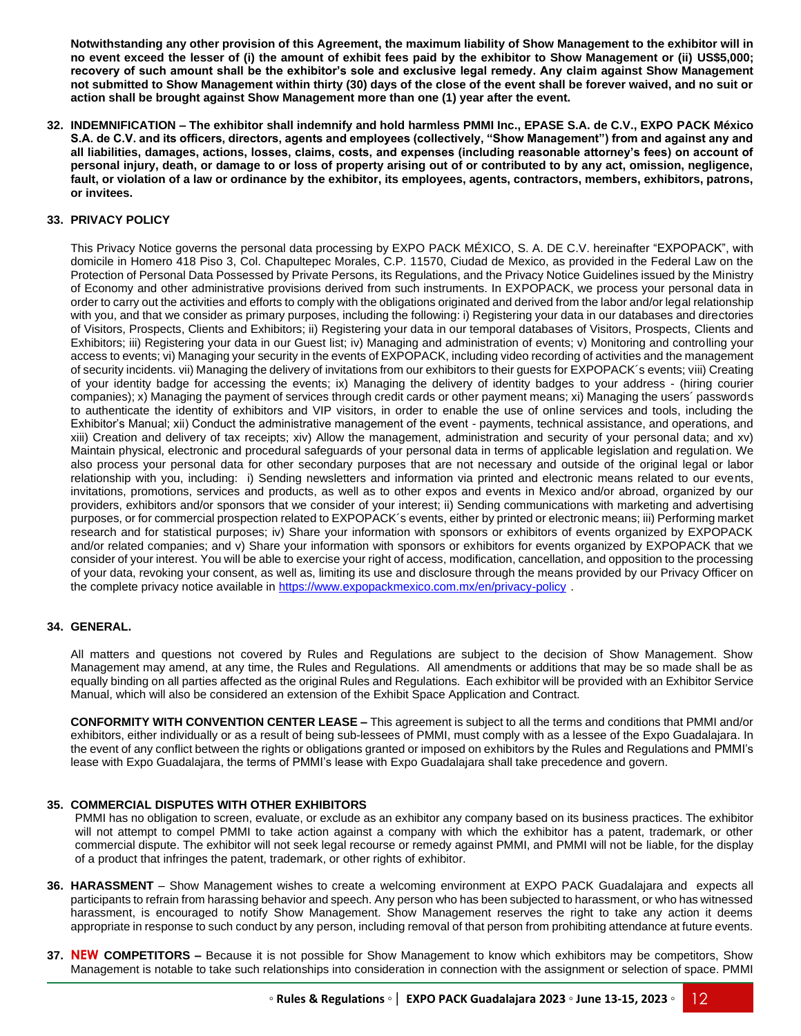**Notwithstanding any other provision of this Agreement, the maximum liability of Show Management to the exhibitor will in no event exceed the lesser of (i) the amount of exhibit fees paid by the exhibitor to Show Management or (ii) US\$5,000; recovery of such amount shall be the exhibitor's sole and exclusive legal remedy. Any claim against Show Management not submitted to Show Management within thirty (30) days of the close of the event shall be forever waived, and no suit or action shall be brought against Show Management more than one (1) year after the event.** 

**32. INDEMNIFICATION – The exhibitor shall indemnify and hold harmless PMMI Inc., EPASE S.A. de C.V., EXPO PACK México S.A. de C.V. and its officers, directors, agents and employees (collectively, "Show Management") from and against any and all liabilities, damages, actions, losses, claims, costs, and expenses (including reasonable attorney's fees) on account of personal injury, death, or damage to or loss of property arising out of or contributed to by any act, omission, negligence, fault, or violation of a law or ordinance by the exhibitor, its employees, agents, contractors, members, exhibitors, patrons, or invitees.** 

# **33. PRIVACY POLICY**

This Privacy Notice governs the personal data processing by EXPO PACK MÉXICO, S. A. DE C.V. hereinafter "EXPOPACK", with domicile in Homero 418 Piso 3, Col. Chapultepec Morales, C.P. 11570, Ciudad de Mexico, as provided in the Federal Law on the Protection of Personal Data Possessed by Private Persons, its Regulations, and the Privacy Notice Guidelines issued by the Ministry of Economy and other administrative provisions derived from such instruments. In EXPOPACK, we process your personal data in order to carry out the activities and efforts to comply with the obligations originated and derived from the labor and/or legal relationship with you, and that we consider as primary purposes, including the following: i) Registering your data in our databases and directories of Visitors, Prospects, Clients and Exhibitors; ii) Registering your data in our temporal databases of Visitors, Prospects, Clients and Exhibitors; iii) Registering your data in our Guest list; iv) Managing and administration of events; v) Monitoring and controlling your access to events; vi) Managing your security in the events of EXPOPACK, including video recording of activities and the management of security incidents. vii) Managing the delivery of invitations from our exhibitors to their guests for EXPOPACK´s events; viii) Creating of your identity badge for accessing the events; ix) Managing the delivery of identity badges to your address - (hiring courier companies); x) Managing the payment of services through credit cards or other payment means; xi) Managing the users´ passwords to authenticate the identity of exhibitors and VIP visitors, in order to enable the use of online services and tools, including the Exhibitor's Manual; xii) Conduct the administrative management of the event - payments, technical assistance, and operations, and xiii) Creation and delivery of tax receipts; xiv) Allow the management, administration and security of your personal data; and xv) Maintain physical, electronic and procedural safeguards of your personal data in terms of applicable legislation and regulation. We also process your personal data for other secondary purposes that are not necessary and outside of the original legal or labor relationship with you, including: i) Sending newsletters and information via printed and electronic means related to our events, invitations, promotions, services and products, as well as to other expos and events in Mexico and/or abroad, organized by our providers, exhibitors and/or sponsors that we consider of your interest; ii) Sending communications with marketing and advertising purposes, or for commercial prospection related to EXPOPACK´s events, either by printed or electronic means; iii) Performing market research and for statistical purposes; iv) Share your information with sponsors or exhibitors of events organized by EXPOPACK and/or related companies; and v) Share your information with sponsors or exhibitors for events organized by EXPOPACK that we consider of your interest. You will be able to exercise your right of access, modification, cancellation, and opposition to the processing of your data, revoking your consent, as well as, limiting its use and disclosure through the means provided by our Privacy Officer on the complete privacy notice available in<https://www.expopackmexico.com.mx/en/privacy-policy> .

# **34. GENERAL.**

All matters and questions not covered by Rules and Regulations are subject to the decision of Show Management. Show Management may amend, at any time, the Rules and Regulations. All amendments or additions that may be so made shall be as equally binding on all parties affected as the original Rules and Regulations. Each exhibitor will be provided with an Exhibitor Service Manual, which will also be considered an extension of the Exhibit Space Application and Contract.

**CONFORMITY WITH CONVENTION CENTER LEASE –** This agreement is subject to all the terms and conditions that PMMI and/or exhibitors, either individually or as a result of being sub-lessees of PMMI, must comply with as a lessee of the Expo Guadalajara. In the event of any conflict between the rights or obligations granted or imposed on exhibitors by the Rules and Regulations and PMMI's lease with Expo Guadalajara, the terms of PMMI's lease with Expo Guadalajara shall take precedence and govern.

# **35. COMMERCIAL DISPUTES WITH OTHER EXHIBITORS**

PMMI has no obligation to screen, evaluate, or exclude as an exhibitor any company based on its business practices. The exhibitor will not attempt to compel PMMI to take action against a company with which the exhibitor has a patent, trademark, or other commercial dispute. The exhibitor will not seek legal recourse or remedy against PMMI, and PMMI will not be liable, for the display of a product that infringes the patent, trademark, or other rights of exhibitor.

- **36. HARASSMENT**  Show Management wishes to create a welcoming environment at EXPO PACK Guadalajara and expects all participants to refrain from harassing behavior and speech. Any person who has been subjected to harassment, or who has witnessed harassment, is encouraged to notify Show Management. Show Management reserves the right to take any action it deems appropriate in response to such conduct by any person, including removal of that person from prohibiting attendance at future events.
- **37. NEW COMPETITORS –** Because it is not possible for Show Management to know which exhibitors may be competitors, Show Management is notable to take such relationships into consideration in connection with the assignment or selection of space. PMMI